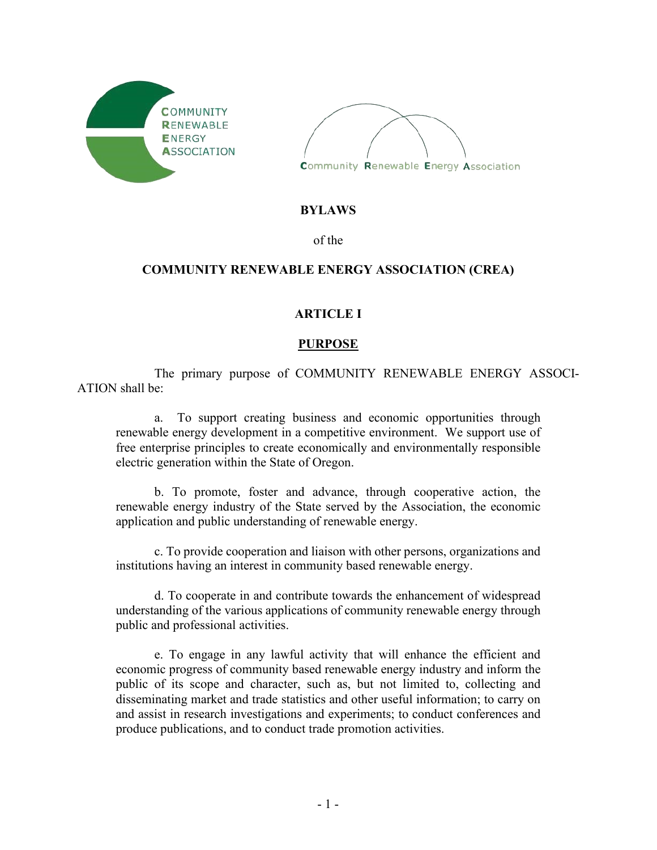



#### **BYLAWS**

of the

### **COMMUNITY RENEWABLE ENERGY ASSOCIATION (CREA)**

### **ARTICLE I**

### **PURPOSE**

The primary purpose of COMMUNITY RENEWABLE ENERGY ASSOCI-ATION shall be:

a. To support creating business and economic opportunities through renewable energy development in a competitive environment. We support use of free enterprise principles to create economically and environmentally responsible electric generation within the State of Oregon.

b. To promote, foster and advance, through cooperative action, the renewable energy industry of the State served by the Association, the economic application and public understanding of renewable energy.

c. To provide cooperation and liaison with other persons, organizations and institutions having an interest in community based renewable energy.

d. To cooperate in and contribute towards the enhancement of widespread understanding of the various applications of community renewable energy through public and professional activities.

e. To engage in any lawful activity that will enhance the efficient and economic progress of community based renewable energy industry and inform the public of its scope and character, such as, but not limited to, collecting and disseminating market and trade statistics and other useful information; to carry on and assist in research investigations and experiments; to conduct conferences and produce publications, and to conduct trade promotion activities.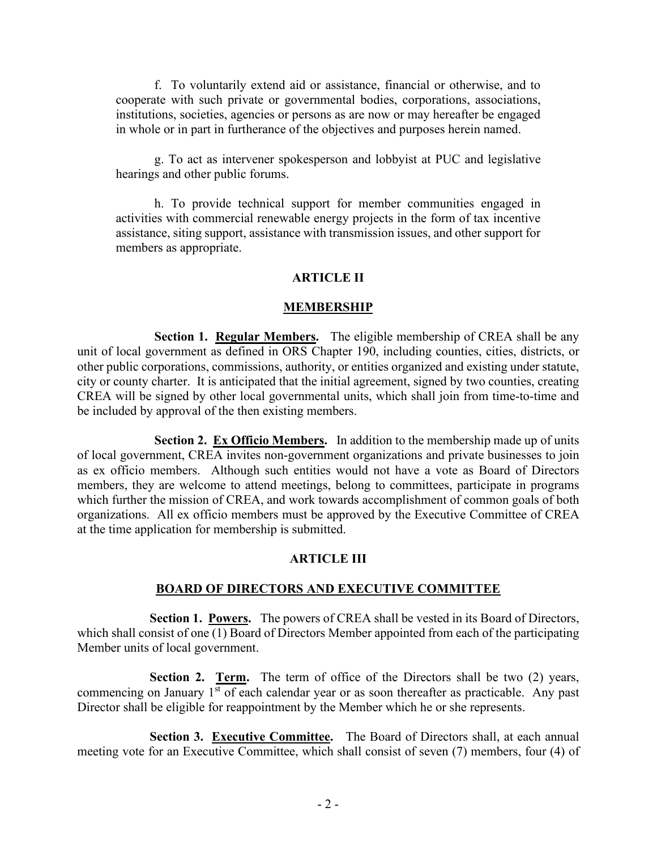f. To voluntarily extend aid or assistance, financial or otherwise, and to cooperate with such private or governmental bodies, corporations, associations, institutions, societies, agencies or persons as are now or may hereafter be engaged in whole or in part in furtherance of the objectives and purposes herein named.

g. To act as intervener spokesperson and lobbyist at PUC and legislative hearings and other public forums.

h. To provide technical support for member communities engaged in activities with commercial renewable energy projects in the form of tax incentive assistance, siting support, assistance with transmission issues, and other support for members as appropriate.

#### **ARTICLE II**

#### **MEMBERSHIP**

**Section 1. Regular Members.** The eligible membership of CREA shall be any unit of local government as defined in ORS Chapter 190, including counties, cities, districts, or other public corporations, commissions, authority, or entities organized and existing under statute, city or county charter. It is anticipated that the initial agreement, signed by two counties, creating CREA will be signed by other local governmental units, which shall join from time-to-time and be included by approval of the then existing members.

**Section 2. Ex Officio Members.** In addition to the membership made up of units of local government, CREA invites non-government organizations and private businesses to join as ex officio members. Although such entities would not have a vote as Board of Directors members, they are welcome to attend meetings, belong to committees, participate in programs which further the mission of CREA, and work towards accomplishment of common goals of both organizations. All ex officio members must be approved by the Executive Committee of CREA at the time application for membership is submitted.

#### **ARTICLE III**

#### **BOARD OF DIRECTORS AND EXECUTIVE COMMITTEE**

**Section 1. Powers.** The powers of CREA shall be vested in its Board of Directors, which shall consist of one (1) Board of Directors Member appointed from each of the participating Member units of local government.

**Section 2. Term.** The term of office of the Directors shall be two (2) years, commencing on January  $1<sup>st</sup>$  of each calendar year or as soon thereafter as practicable. Any past Director shall be eligible for reappointment by the Member which he or she represents.

**Section 3. Executive Committee.** The Board of Directors shall, at each annual meeting vote for an Executive Committee, which shall consist of seven (7) members, four (4) of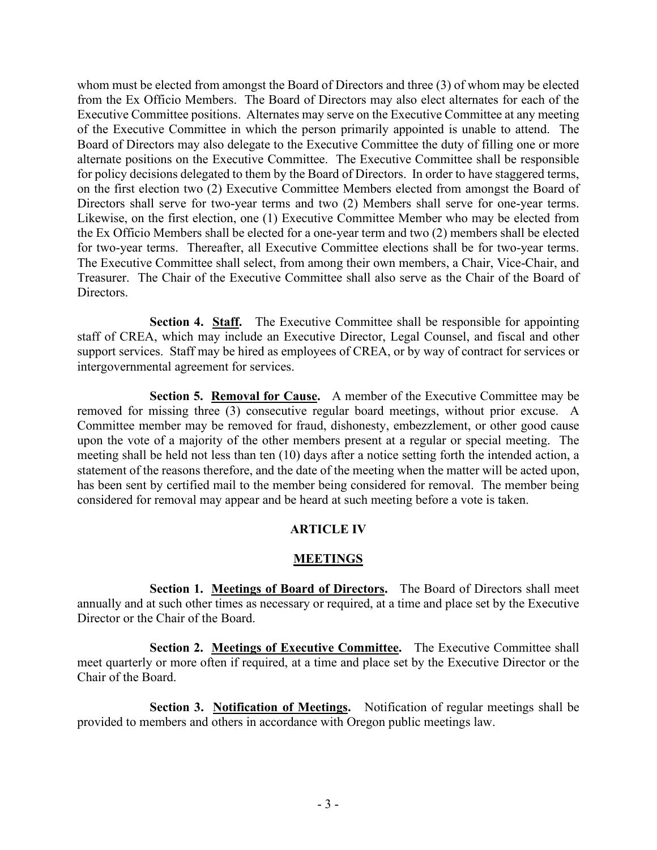whom must be elected from amongst the Board of Directors and three (3) of whom may be elected from the Ex Officio Members. The Board of Directors may also elect alternates for each of the Executive Committee positions. Alternates may serve on the Executive Committee at any meeting of the Executive Committee in which the person primarily appointed is unable to attend. The Board of Directors may also delegate to the Executive Committee the duty of filling one or more alternate positions on the Executive Committee. The Executive Committee shall be responsible for policy decisions delegated to them by the Board of Directors. In order to have staggered terms, on the first election two (2) Executive Committee Members elected from amongst the Board of Directors shall serve for two-year terms and two (2) Members shall serve for one-year terms. Likewise, on the first election, one (1) Executive Committee Member who may be elected from the Ex Officio Members shall be elected for a one-year term and two (2) members shall be elected for two-year terms. Thereafter, all Executive Committee elections shall be for two-year terms. The Executive Committee shall select, from among their own members, a Chair, Vice-Chair, and Treasurer. The Chair of the Executive Committee shall also serve as the Chair of the Board of Directors.

**Section 4. Staff.** The Executive Committee shall be responsible for appointing staff of CREA, which may include an Executive Director, Legal Counsel, and fiscal and other support services. Staff may be hired as employees of CREA, or by way of contract for services or intergovernmental agreement for services.

**Section 5. Removal for Cause.** A member of the Executive Committee may be removed for missing three (3) consecutive regular board meetings, without prior excuse. A Committee member may be removed for fraud, dishonesty, embezzlement, or other good cause upon the vote of a majority of the other members present at a regular or special meeting. The meeting shall be held not less than ten (10) days after a notice setting forth the intended action, a statement of the reasons therefore, and the date of the meeting when the matter will be acted upon, has been sent by certified mail to the member being considered for removal. The member being considered for removal may appear and be heard at such meeting before a vote is taken.

# **ARTICLE IV**

# **MEETINGS**

**Section 1. Meetings of Board of Directors.** The Board of Directors shall meet annually and at such other times as necessary or required, at a time and place set by the Executive Director or the Chair of the Board.

**Section 2. Meetings of Executive Committee.** The Executive Committee shall meet quarterly or more often if required, at a time and place set by the Executive Director or the Chair of the Board.

**Section 3. Notification of Meetings.** Notification of regular meetings shall be provided to members and others in accordance with Oregon public meetings law.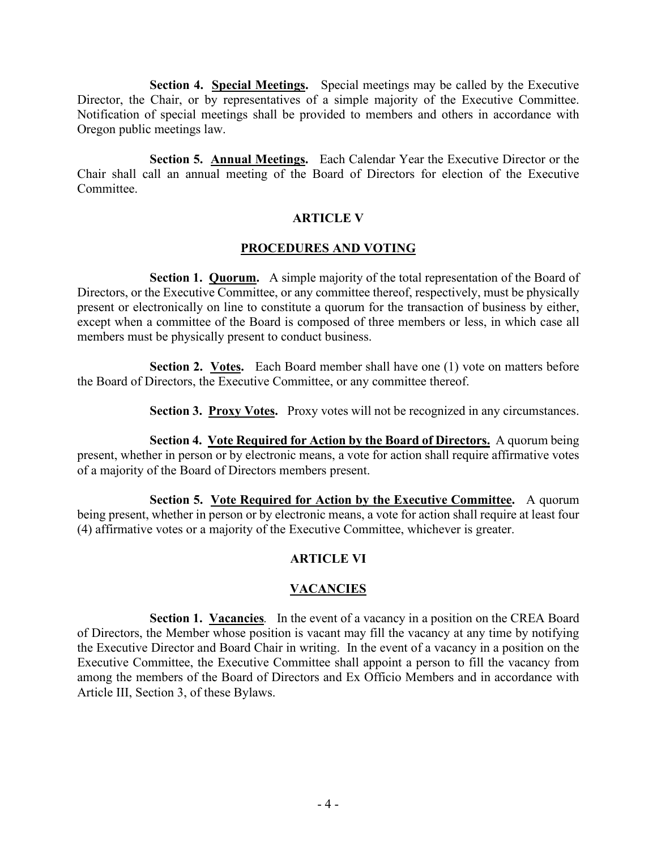**Section 4. Special Meetings.** Special meetings may be called by the Executive Director, the Chair, or by representatives of a simple majority of the Executive Committee. Notification of special meetings shall be provided to members and others in accordance with Oregon public meetings law.

**Section 5. Annual Meetings.** Each Calendar Year the Executive Director or the Chair shall call an annual meeting of the Board of Directors for election of the Executive Committee.

# **ARTICLE V**

### **PROCEDURES AND VOTING**

**Section 1. Quorum.** A simple majority of the total representation of the Board of Directors, or the Executive Committee, or any committee thereof, respectively, must be physically present or electronically on line to constitute a quorum for the transaction of business by either, except when a committee of the Board is composed of three members or less, in which case all members must be physically present to conduct business.

**Section 2. Votes.** Each Board member shall have one (1) vote on matters before the Board of Directors, the Executive Committee, or any committee thereof.

**Section 3. Proxy Votes.** Proxy votes will not be recognized in any circumstances.

**Section 4. Vote Required for Action by the Board of Directors.** A quorum being present, whether in person or by electronic means, a vote for action shall require affirmative votes of a majority of the Board of Directors members present.

**Section 5. Vote Required for Action by the Executive Committee.** A quorum being present, whether in person or by electronic means, a vote for action shall require at least four (4) affirmative votes or a majority of the Executive Committee, whichever is greater.

# **ARTICLE VI**

# **VACANCIES**

**Section 1. Vacancies***.* In the event of a vacancy in a position on the CREA Board of Directors, the Member whose position is vacant may fill the vacancy at any time by notifying the Executive Director and Board Chair in writing. In the event of a vacancy in a position on the Executive Committee, the Executive Committee shall appoint a person to fill the vacancy from among the members of the Board of Directors and Ex Officio Members and in accordance with Article III, Section 3, of these Bylaws.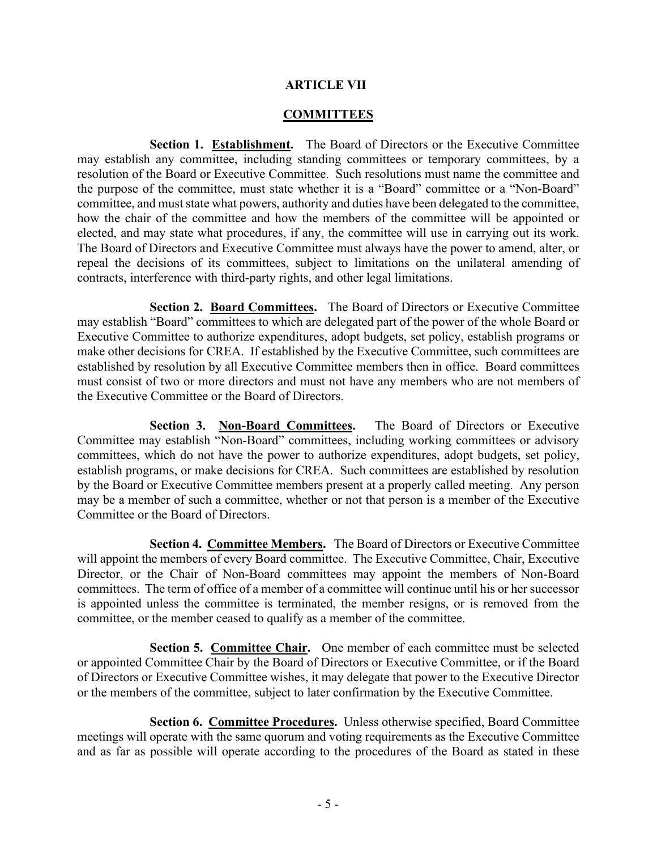### **ARTICLE VII**

### **COMMITTEES**

**Section 1. Establishment.** The Board of Directors or the Executive Committee may establish any committee, including standing committees or temporary committees, by a resolution of the Board or Executive Committee. Such resolutions must name the committee and the purpose of the committee, must state whether it is a "Board" committee or a "Non-Board" committee, and must state what powers, authority and duties have been delegated to the committee, how the chair of the committee and how the members of the committee will be appointed or elected, and may state what procedures, if any, the committee will use in carrying out its work. The Board of Directors and Executive Committee must always have the power to amend, alter, or repeal the decisions of its committees, subject to limitations on the unilateral amending of contracts, interference with third-party rights, and other legal limitations.

**Section 2. Board Committees.** The Board of Directors or Executive Committee may establish "Board" committees to which are delegated part of the power of the whole Board or Executive Committee to authorize expenditures, adopt budgets, set policy, establish programs or make other decisions for CREA. If established by the Executive Committee, such committees are established by resolution by all Executive Committee members then in office. Board committees must consist of two or more directors and must not have any members who are not members of the Executive Committee or the Board of Directors.

Section 3. Non-Board Committees. The Board of Directors or Executive Committee may establish "Non-Board" committees, including working committees or advisory committees, which do not have the power to authorize expenditures, adopt budgets, set policy, establish programs, or make decisions for CREA. Such committees are established by resolution by the Board or Executive Committee members present at a properly called meeting. Any person may be a member of such a committee, whether or not that person is a member of the Executive Committee or the Board of Directors.

**Section 4. Committee Members.** The Board of Directors or Executive Committee will appoint the members of every Board committee. The Executive Committee, Chair, Executive Director, or the Chair of Non-Board committees may appoint the members of Non-Board committees. The term of office of a member of a committee will continue until his or her successor is appointed unless the committee is terminated, the member resigns, or is removed from the committee, or the member ceased to qualify as a member of the committee.

**Section 5. Committee Chair.** One member of each committee must be selected or appointed Committee Chair by the Board of Directors or Executive Committee, or if the Board of Directors or Executive Committee wishes, it may delegate that power to the Executive Director or the members of the committee, subject to later confirmation by the Executive Committee.

**Section 6. Committee Procedures.** Unless otherwise specified, Board Committee meetings will operate with the same quorum and voting requirements as the Executive Committee and as far as possible will operate according to the procedures of the Board as stated in these